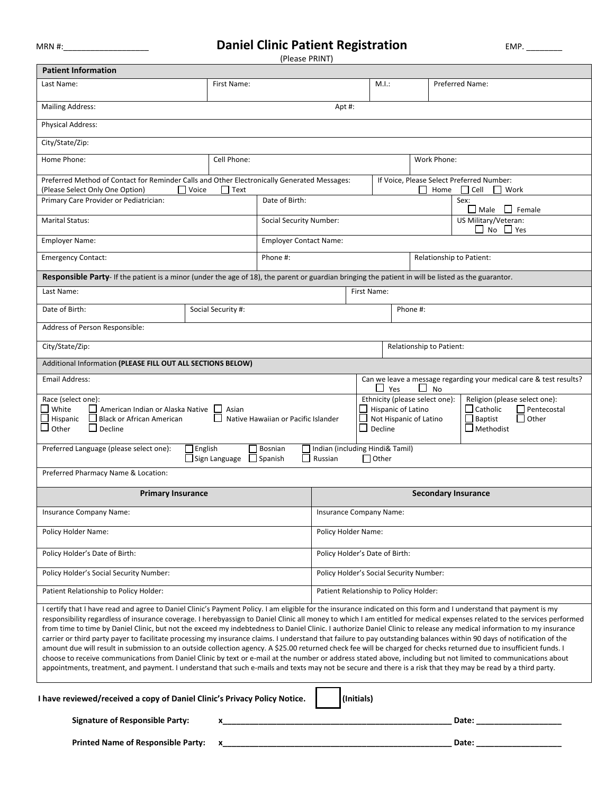## MRN #:\_\_\_\_\_\_\_\_\_\_\_\_\_\_\_\_\_\_\_ **Daniel Clinic Patient Registration** EMP. \_\_\_\_\_\_\_\_

| (Please PRINT)                                                                                                                                                                                                                                                                                                                                                                                                                                                                                                                                                                                                                                                                                                                                                                                                                                                                                                                                                                                                                                                                                                                                                                                             |                                                                                                                                                                                                                                          |                                                                                                                                                                                                                                                                                                                               |                                            |                               |          |                            |                                                                             |
|------------------------------------------------------------------------------------------------------------------------------------------------------------------------------------------------------------------------------------------------------------------------------------------------------------------------------------------------------------------------------------------------------------------------------------------------------------------------------------------------------------------------------------------------------------------------------------------------------------------------------------------------------------------------------------------------------------------------------------------------------------------------------------------------------------------------------------------------------------------------------------------------------------------------------------------------------------------------------------------------------------------------------------------------------------------------------------------------------------------------------------------------------------------------------------------------------------|------------------------------------------------------------------------------------------------------------------------------------------------------------------------------------------------------------------------------------------|-------------------------------------------------------------------------------------------------------------------------------------------------------------------------------------------------------------------------------------------------------------------------------------------------------------------------------|--------------------------------------------|-------------------------------|----------|----------------------------|-----------------------------------------------------------------------------|
| <b>Patient Information</b>                                                                                                                                                                                                                                                                                                                                                                                                                                                                                                                                                                                                                                                                                                                                                                                                                                                                                                                                                                                                                                                                                                                                                                                 |                                                                                                                                                                                                                                          |                                                                                                                                                                                                                                                                                                                               |                                            |                               |          |                            |                                                                             |
| Last Name:                                                                                                                                                                                                                                                                                                                                                                                                                                                                                                                                                                                                                                                                                                                                                                                                                                                                                                                                                                                                                                                                                                                                                                                                 | First Name:                                                                                                                                                                                                                              |                                                                                                                                                                                                                                                                                                                               |                                            | M.I.:                         |          |                            | Preferred Name:                                                             |
| Mailing Address:                                                                                                                                                                                                                                                                                                                                                                                                                                                                                                                                                                                                                                                                                                                                                                                                                                                                                                                                                                                                                                                                                                                                                                                           |                                                                                                                                                                                                                                          |                                                                                                                                                                                                                                                                                                                               | Apt#:                                      |                               |          |                            |                                                                             |
| <b>Physical Address:</b>                                                                                                                                                                                                                                                                                                                                                                                                                                                                                                                                                                                                                                                                                                                                                                                                                                                                                                                                                                                                                                                                                                                                                                                   |                                                                                                                                                                                                                                          |                                                                                                                                                                                                                                                                                                                               |                                            |                               |          |                            |                                                                             |
| City/State/Zip:                                                                                                                                                                                                                                                                                                                                                                                                                                                                                                                                                                                                                                                                                                                                                                                                                                                                                                                                                                                                                                                                                                                                                                                            |                                                                                                                                                                                                                                          |                                                                                                                                                                                                                                                                                                                               |                                            |                               |          |                            |                                                                             |
| Home Phone:                                                                                                                                                                                                                                                                                                                                                                                                                                                                                                                                                                                                                                                                                                                                                                                                                                                                                                                                                                                                                                                                                                                                                                                                | Cell Phone:                                                                                                                                                                                                                              |                                                                                                                                                                                                                                                                                                                               |                                            |                               |          | Work Phone:                |                                                                             |
| Preferred Method of Contact for Reminder Calls and Other Electronically Generated Messages:<br>(Please Select Only One Option)                                                                                                                                                                                                                                                                                                                                                                                                                                                                                                                                                                                                                                                                                                                                                                                                                                                                                                                                                                                                                                                                             | $\Box$ Voice<br>    Text                                                                                                                                                                                                                 |                                                                                                                                                                                                                                                                                                                               |                                            |                               |          | Home                       | If Voice, Please Select Preferred Number:<br>Cell<br>$\mathbf{1}$<br>  Work |
| Primary Care Provider or Pediatrician:                                                                                                                                                                                                                                                                                                                                                                                                                                                                                                                                                                                                                                                                                                                                                                                                                                                                                                                                                                                                                                                                                                                                                                     |                                                                                                                                                                                                                                          | Date of Birth:                                                                                                                                                                                                                                                                                                                |                                            |                               |          |                            | Sex:<br>$\Box$ Male $\Box$ Female                                           |
| <b>Marital Status:</b>                                                                                                                                                                                                                                                                                                                                                                                                                                                                                                                                                                                                                                                                                                                                                                                                                                                                                                                                                                                                                                                                                                                                                                                     |                                                                                                                                                                                                                                          | Social Security Number:                                                                                                                                                                                                                                                                                                       |                                            |                               |          |                            | US Military/Veteran:<br>$\Box$ No $\Box$ Yes                                |
| <b>Employer Name:</b>                                                                                                                                                                                                                                                                                                                                                                                                                                                                                                                                                                                                                                                                                                                                                                                                                                                                                                                                                                                                                                                                                                                                                                                      |                                                                                                                                                                                                                                          | <b>Employer Contact Name:</b>                                                                                                                                                                                                                                                                                                 |                                            |                               |          |                            |                                                                             |
| <b>Emergency Contact:</b>                                                                                                                                                                                                                                                                                                                                                                                                                                                                                                                                                                                                                                                                                                                                                                                                                                                                                                                                                                                                                                                                                                                                                                                  |                                                                                                                                                                                                                                          | Phone #:                                                                                                                                                                                                                                                                                                                      |                                            |                               |          | Relationship to Patient:   |                                                                             |
| Responsible Party- If the patient is a minor (under the age of 18), the parent or guardian bringing the patient in will be listed as the guarantor.                                                                                                                                                                                                                                                                                                                                                                                                                                                                                                                                                                                                                                                                                                                                                                                                                                                                                                                                                                                                                                                        |                                                                                                                                                                                                                                          |                                                                                                                                                                                                                                                                                                                               |                                            |                               |          |                            |                                                                             |
| Last Name:                                                                                                                                                                                                                                                                                                                                                                                                                                                                                                                                                                                                                                                                                                                                                                                                                                                                                                                                                                                                                                                                                                                                                                                                 |                                                                                                                                                                                                                                          |                                                                                                                                                                                                                                                                                                                               |                                            | First Name:                   |          |                            |                                                                             |
| Date of Birth:                                                                                                                                                                                                                                                                                                                                                                                                                                                                                                                                                                                                                                                                                                                                                                                                                                                                                                                                                                                                                                                                                                                                                                                             | Social Security #:                                                                                                                                                                                                                       |                                                                                                                                                                                                                                                                                                                               |                                            |                               | Phone #: |                            |                                                                             |
| Address of Person Responsible:                                                                                                                                                                                                                                                                                                                                                                                                                                                                                                                                                                                                                                                                                                                                                                                                                                                                                                                                                                                                                                                                                                                                                                             |                                                                                                                                                                                                                                          |                                                                                                                                                                                                                                                                                                                               |                                            |                               |          |                            |                                                                             |
| City/State/Zip:                                                                                                                                                                                                                                                                                                                                                                                                                                                                                                                                                                                                                                                                                                                                                                                                                                                                                                                                                                                                                                                                                                                                                                                            |                                                                                                                                                                                                                                          |                                                                                                                                                                                                                                                                                                                               |                                            |                               |          | Relationship to Patient:   |                                                                             |
| Additional Information (PLEASE FILL OUT ALL SECTIONS BELOW)                                                                                                                                                                                                                                                                                                                                                                                                                                                                                                                                                                                                                                                                                                                                                                                                                                                                                                                                                                                                                                                                                                                                                |                                                                                                                                                                                                                                          |                                                                                                                                                                                                                                                                                                                               |                                            |                               |          |                            |                                                                             |
| Can we leave a message regarding your medical care & test results?<br><b>Email Address:</b><br>Yes<br><b>No</b>                                                                                                                                                                                                                                                                                                                                                                                                                                                                                                                                                                                                                                                                                                                                                                                                                                                                                                                                                                                                                                                                                            |                                                                                                                                                                                                                                          |                                                                                                                                                                                                                                                                                                                               |                                            |                               |          |                            |                                                                             |
| Race (select one):<br>White<br>□ American Indian or Alaska Native □ Asian<br>$\Box$ Black or African American<br>$\Box$ Hispanic<br>$\square$ Other<br>$\Box$ Decline                                                                                                                                                                                                                                                                                                                                                                                                                                                                                                                                                                                                                                                                                                                                                                                                                                                                                                                                                                                                                                      | Ethnicity (please select one):<br>Hispanic of Latino<br>$\Box$ Catholic<br>Pentecostal<br>Not Hispanic of Latino<br>$\Box$ Baptist<br>$\Box$ Other<br>Native Hawaiian or Pacific Islander<br>$\mathsf{L}$<br>$\Box$ Methodist<br>Decline |                                                                                                                                                                                                                                                                                                                               |                                            | Religion (please select one): |          |                            |                                                                             |
| Preferred Language (please select one):                                                                                                                                                                                                                                                                                                                                                                                                                                                                                                                                                                                                                                                                                                                                                                                                                                                                                                                                                                                                                                                                                                                                                                    | $\Box$ English<br>$\Box$ Sign Language                                                                                                                                                                                                   | Bosnian<br>$\Box$ Spanish<br>l 1                                                                                                                                                                                                                                                                                              | Indian (including Hindi& Tamil)<br>Russian | $\Box$ Other                  |          |                            |                                                                             |
| Preferred Pharmacy Name & Location:                                                                                                                                                                                                                                                                                                                                                                                                                                                                                                                                                                                                                                                                                                                                                                                                                                                                                                                                                                                                                                                                                                                                                                        |                                                                                                                                                                                                                                          |                                                                                                                                                                                                                                                                                                                               |                                            |                               |          |                            |                                                                             |
| <b>Primary Insurance</b>                                                                                                                                                                                                                                                                                                                                                                                                                                                                                                                                                                                                                                                                                                                                                                                                                                                                                                                                                                                                                                                                                                                                                                                   |                                                                                                                                                                                                                                          |                                                                                                                                                                                                                                                                                                                               |                                            |                               |          | <b>Secondary Insurance</b> |                                                                             |
| Insurance Company Name:                                                                                                                                                                                                                                                                                                                                                                                                                                                                                                                                                                                                                                                                                                                                                                                                                                                                                                                                                                                                                                                                                                                                                                                    |                                                                                                                                                                                                                                          |                                                                                                                                                                                                                                                                                                                               | Insurance Company Name:                    |                               |          |                            |                                                                             |
| Policy Holder Name:                                                                                                                                                                                                                                                                                                                                                                                                                                                                                                                                                                                                                                                                                                                                                                                                                                                                                                                                                                                                                                                                                                                                                                                        |                                                                                                                                                                                                                                          |                                                                                                                                                                                                                                                                                                                               | Policy Holder Name:                        |                               |          |                            |                                                                             |
| Policy Holder's Date of Birth:                                                                                                                                                                                                                                                                                                                                                                                                                                                                                                                                                                                                                                                                                                                                                                                                                                                                                                                                                                                                                                                                                                                                                                             |                                                                                                                                                                                                                                          |                                                                                                                                                                                                                                                                                                                               | Policy Holder's Date of Birth:             |                               |          |                            |                                                                             |
| Policy Holder's Social Security Number:                                                                                                                                                                                                                                                                                                                                                                                                                                                                                                                                                                                                                                                                                                                                                                                                                                                                                                                                                                                                                                                                                                                                                                    |                                                                                                                                                                                                                                          |                                                                                                                                                                                                                                                                                                                               | Policy Holder's Social Security Number:    |                               |          |                            |                                                                             |
| Patient Relationship to Policy Holder:                                                                                                                                                                                                                                                                                                                                                                                                                                                                                                                                                                                                                                                                                                                                                                                                                                                                                                                                                                                                                                                                                                                                                                     | Patient Relationship to Policy Holder:                                                                                                                                                                                                   |                                                                                                                                                                                                                                                                                                                               |                                            |                               |          |                            |                                                                             |
| I certify that I have read and agree to Daniel Clinic's Payment Policy. I am eligible for the insurance indicated on this form and I understand that payment is my<br>responsibility regardless of insurance coverage. I herebyassign to Daniel Clinic all money to which I am entitled for medical expenses related to the services performed<br>from time to time by Daniel Clinic, but not the exceed my indebtedness to Daniel Clinic. I authorize Daniel Clinic to release any medical information to my insurance<br>carrier or third party payer to facilitate processing my insurance claims. I understand that failure to pay outstanding balances within 90 days of notification of the<br>amount due will result in submission to an outside collection agency. A \$25.00 returned check fee will be charged for checks returned due to insufficient funds. I<br>choose to receive communications from Daniel Clinic by text or e-mail at the number or address stated above, including but not limited to communications about<br>appointments, treatment, and payment. I understand that such e-mails and texts may not be secure and there is a risk that they may be read by a third party. |                                                                                                                                                                                                                                          |                                                                                                                                                                                                                                                                                                                               |                                            |                               |          |                            |                                                                             |
| (Initials)<br>I have reviewed/received a copy of Daniel Clinic's Privacy Policy Notice.                                                                                                                                                                                                                                                                                                                                                                                                                                                                                                                                                                                                                                                                                                                                                                                                                                                                                                                                                                                                                                                                                                                    |                                                                                                                                                                                                                                          |                                                                                                                                                                                                                                                                                                                               |                                            |                               |          |                            |                                                                             |
| <b>Signature of Responsible Party:</b>                                                                                                                                                                                                                                                                                                                                                                                                                                                                                                                                                                                                                                                                                                                                                                                                                                                                                                                                                                                                                                                                                                                                                                     |                                                                                                                                                                                                                                          |                                                                                                                                                                                                                                                                                                                               |                                            |                               |          |                            |                                                                             |
| <b>Printed Name of Responsible Party:</b>                                                                                                                                                                                                                                                                                                                                                                                                                                                                                                                                                                                                                                                                                                                                                                                                                                                                                                                                                                                                                                                                                                                                                                  |                                                                                                                                                                                                                                          | $\mathbf{x}$ and $\mathbf{x}$ and $\mathbf{x}$ and $\mathbf{x}$ and $\mathbf{x}$ and $\mathbf{x}$ and $\mathbf{x}$ and $\mathbf{x}$ and $\mathbf{x}$ and $\mathbf{x}$ and $\mathbf{x}$ and $\mathbf{x}$ and $\mathbf{x}$ and $\mathbf{x}$ and $\mathbf{x}$ and $\mathbf{x}$ and $\mathbf{x}$ and $\mathbf{x}$ and $\mathbf{x$ |                                            |                               |          |                            | Date: _______________________                                               |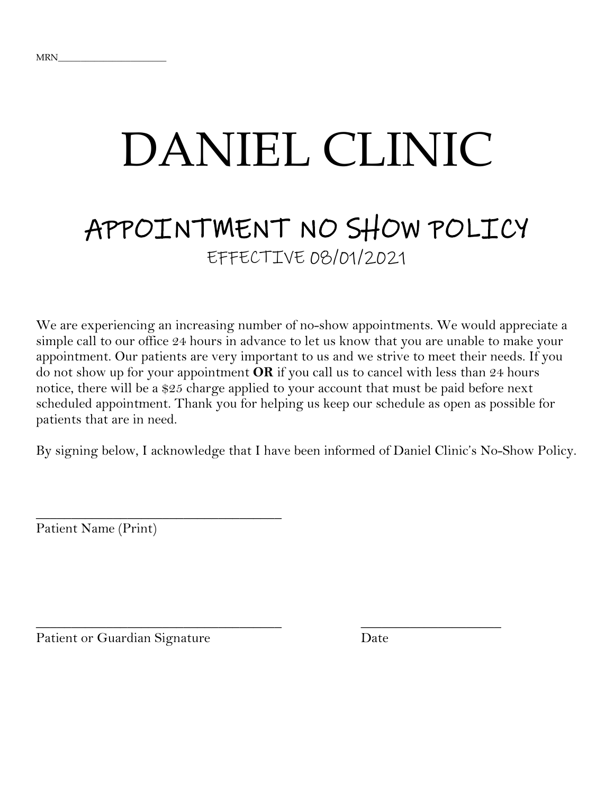## DANIEL CLINIC

# APPOINTMENT NO SHOW POLICY EFFECTIVE 08/01/2021

We are experiencing an increasing number of no-show appointments. We would appreciate a simple call to our office 24 hours in advance to let us know that you are unable to make your appointment. Our patients are very important to us and we strive to meet their needs. If you do not show up for your appointment **OR** if you call us to cancel with less than 24 hours notice, there will be a \$25 charge applied to your account that must be paid before next scheduled appointment. Thank you for helping us keep our schedule as open as possible for patients that are in need.

By signing below, I acknowledge that I have been informed of Daniel Clinic's No-Show Policy.

\_\_\_\_\_\_\_\_\_\_\_\_\_\_\_\_\_\_\_\_\_\_\_\_\_\_\_\_\_\_\_\_\_\_\_ \_\_\_\_\_\_\_\_\_\_\_\_\_\_\_\_\_\_\_\_

Patient Name (Print)

Patient or Guardian Signature Date

\_\_\_\_\_\_\_\_\_\_\_\_\_\_\_\_\_\_\_\_\_\_\_\_\_\_\_\_\_\_\_\_\_\_\_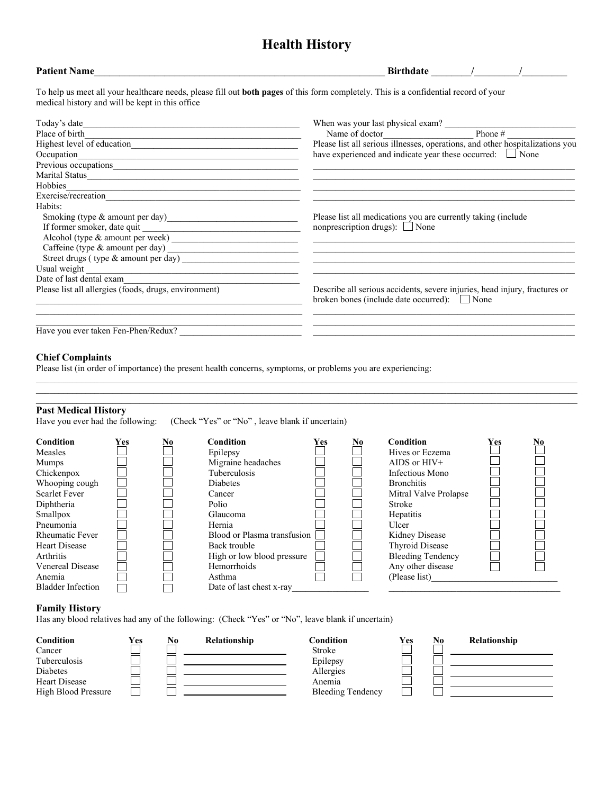## **Health History**

| <b>Patient Name</b>                                   | Birthdate /                                                                                                                          |
|-------------------------------------------------------|--------------------------------------------------------------------------------------------------------------------------------------|
| medical history and will be kept in this office       | To help us meet all your healthcare needs, please fill out both pages of this form completely. This is a confidential record of your |
| Today's date                                          | When was your last physical exam?                                                                                                    |
| Place of birth                                        | Phone $#$<br>Name of doctor                                                                                                          |
|                                                       | Please list all serious illnesses, operations, and other hospitalizations you                                                        |
| Occupation                                            | have experienced and indicate year these occurred: $\Box$ None                                                                       |
| Previous occupations                                  |                                                                                                                                      |
|                                                       |                                                                                                                                      |
| Hobbies                                               |                                                                                                                                      |
|                                                       |                                                                                                                                      |
| Habits:                                               |                                                                                                                                      |
|                                                       | Please list all medications you are currently taking (include                                                                        |
|                                                       | nonprescription drugs): $\Box$ None                                                                                                  |
|                                                       |                                                                                                                                      |
|                                                       |                                                                                                                                      |
|                                                       |                                                                                                                                      |
| Usual weight                                          |                                                                                                                                      |
| Date of last dental exam                              |                                                                                                                                      |
| Please list all allergies (foods, drugs, environment) | Describe all serious accidents, severe injuries, head injury, fractures or<br>broken bones (include date occurred): None             |
| Have you ever taken Fen-Phen/Redux?                   |                                                                                                                                      |

#### **Chief Complaints**

Please list (in order of importance) the present health concerns, symptoms, or problems you are experiencing:

#### **Past Medical History**

Have you ever had the following: (Check "Yes" or "No", leave blank if uncertain)

| Condition                | Yes | No | Condition                   | Yes | No | <b>Condition</b>         | Yes | No |
|--------------------------|-----|----|-----------------------------|-----|----|--------------------------|-----|----|
| <b>Measles</b>           |     |    | Epilepsy                    |     |    | Hives or Eczema          |     |    |
| <b>Mumps</b>             |     |    | Migraine headaches          |     |    | AIDS or $HIV+$           |     |    |
| Chickenpox               |     |    | <b>Tuberculosis</b>         |     |    | Infectious Mono          |     |    |
| Whooping cough           |     |    | <b>Diabetes</b>             |     |    | <b>Bronchitis</b>        |     |    |
| <b>Scarlet Fever</b>     |     |    | Cancer                      |     |    | Mitral Valve Prolapse    |     |    |
| Diphtheria               |     |    | Polio                       |     |    | Stroke                   |     |    |
| Smallpox                 |     |    | Glaucoma                    |     |    | Hepatitis                |     |    |
| Pneumonia                |     |    | Hernia                      |     |    | Ulcer                    |     |    |
| <b>Rheumatic Fever</b>   |     |    | Blood or Plasma transfusion |     |    | Kidney Disease           |     |    |
| <b>Heart Disease</b>     |     |    | Back trouble                |     |    | <b>Thyroid Disease</b>   |     |    |
| <b>Arthritis</b>         |     |    | High or low blood pressure  |     |    | <b>Bleeding Tendency</b> |     |    |
| <b>Venereal Disease</b>  |     |    | Hemorrhoids                 |     |    | Any other disease        |     |    |
| Anemia                   |     |    | Asthma                      |     |    | (Please list)            |     |    |
| <b>Bladder Infection</b> |     |    | Date of last chest x-ray    |     |    |                          |     |    |

 $\_$  ,  $\_$  ,  $\_$  ,  $\_$  ,  $\_$  ,  $\_$  ,  $\_$  ,  $\_$  ,  $\_$  ,  $\_$  ,  $\_$  ,  $\_$  ,  $\_$  ,  $\_$  ,  $\_$  ,  $\_$  ,  $\_$  ,  $\_$  ,  $\_$  ,  $\_$  ,  $\_$  ,  $\_$  ,  $\_$  ,  $\_$  ,  $\_$  ,  $\_$  ,  $\_$  ,  $\_$  ,  $\_$  ,  $\_$  ,  $\_$  ,  $\_$  ,  $\_$  ,  $\_$  ,  $\_$  ,  $\_$  ,  $\_$  ,  $\mathcal{L}_\mathcal{L} = \mathcal{L}_\mathcal{L} = \mathcal{L}_\mathcal{L} = \mathcal{L}_\mathcal{L} = \mathcal{L}_\mathcal{L} = \mathcal{L}_\mathcal{L} = \mathcal{L}_\mathcal{L} = \mathcal{L}_\mathcal{L} = \mathcal{L}_\mathcal{L} = \mathcal{L}_\mathcal{L} = \mathcal{L}_\mathcal{L} = \mathcal{L}_\mathcal{L} = \mathcal{L}_\mathcal{L} = \mathcal{L}_\mathcal{L} = \mathcal{L}_\mathcal{L} = \mathcal{L}_\mathcal{L} = \mathcal{L}_\mathcal{L}$  $\mathcal{L}_\mathcal{L} = \mathcal{L}_\mathcal{L} = \mathcal{L}_\mathcal{L} = \mathcal{L}_\mathcal{L} = \mathcal{L}_\mathcal{L} = \mathcal{L}_\mathcal{L} = \mathcal{L}_\mathcal{L} = \mathcal{L}_\mathcal{L} = \mathcal{L}_\mathcal{L} = \mathcal{L}_\mathcal{L} = \mathcal{L}_\mathcal{L} = \mathcal{L}_\mathcal{L} = \mathcal{L}_\mathcal{L} = \mathcal{L}_\mathcal{L} = \mathcal{L}_\mathcal{L} = \mathcal{L}_\mathcal{L} = \mathcal{L}_\mathcal{L}$ 

#### **Family History**

Has any blood relatives had any of the following: (Check "Yes" or "No", leave blank if uncertain)

| <b>Condition</b>    | Yes | No | Relationship | Condition                | <b>Yes</b> | N0 | Relationship |
|---------------------|-----|----|--------------|--------------------------|------------|----|--------------|
| Cancer              |     |    |              | Stroke                   |            |    |              |
| Tuberculosis        |     |    |              | Epilepsy                 |            |    |              |
| Diabetes            |     |    |              | Allergies                |            |    |              |
| Heart Disease       |     |    |              | Anemia                   |            |    |              |
| High Blood Pressure |     |    |              | <b>Bleeding Tendency</b> |            |    |              |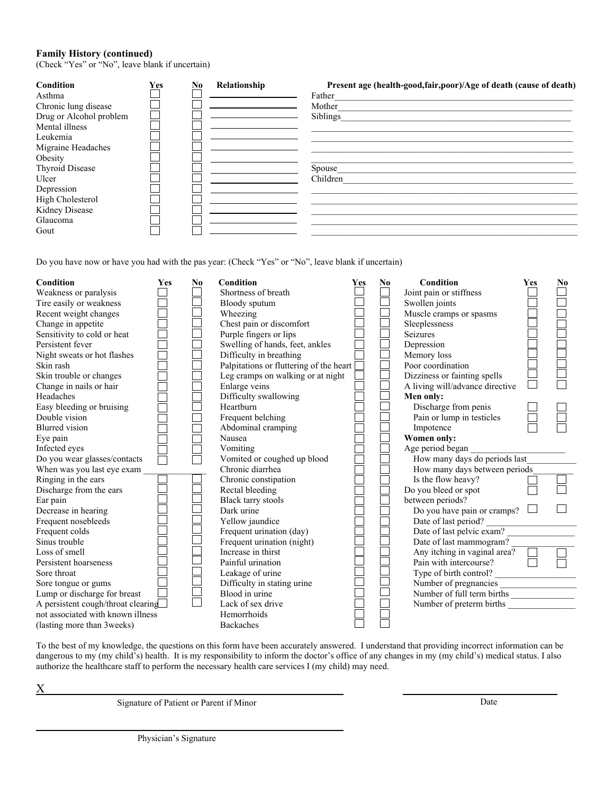#### **Family History (continued)**

(Check "Yes" or "No", leave blank if uncertain)

| <b>Condition</b><br>Asthma<br>Chronic lung disease<br>Drug or Alcohol problem<br>Mental illness<br>Leukemia<br>Migraine Headaches<br>Obesity<br>Thyroid Disease<br>Ulcer | <b>Yes</b> | No | Relationship | Present age (health-good, fair, poor)/Age of death (cause of death)<br>Father<br>Mother<br>Siblings<br>Spouse<br>Children |
|--------------------------------------------------------------------------------------------------------------------------------------------------------------------------|------------|----|--------------|---------------------------------------------------------------------------------------------------------------------------|
|                                                                                                                                                                          |            |    |              |                                                                                                                           |
| Depression                                                                                                                                                               |            |    |              |                                                                                                                           |
| High Cholesterol                                                                                                                                                         |            |    |              |                                                                                                                           |
| Kidney Disease                                                                                                                                                           |            |    |              |                                                                                                                           |
| Glaucoma                                                                                                                                                                 |            |    |              |                                                                                                                           |
| Gout                                                                                                                                                                     |            |    |              |                                                                                                                           |

Do you have now or have you had with the pas year: (Check "Yes" or "No", leave blank if uncertain)

| <b>Condition</b>                   | Yes | No | <b>Condition</b>                        | Yes | $\mathbf{N}\mathbf{0}$ | Condition                       | Yes | N <sub>0</sub> |
|------------------------------------|-----|----|-----------------------------------------|-----|------------------------|---------------------------------|-----|----------------|
| Weakness or paralysis              |     |    | Shortness of breath                     |     |                        | Joint pain or stiffness         |     |                |
| Tire easily or weakness            |     |    | Bloody sputum                           |     |                        | Swollen joints                  |     |                |
| Recent weight changes              |     |    | Wheezing                                |     |                        | Muscle cramps or spasms         |     |                |
| Change in appetite                 |     |    | Chest pain or discomfort                |     |                        | Sleeplessness                   |     |                |
| Sensitivity to cold or heat        |     |    | Purple fingers or lips                  |     |                        | Seizures                        |     |                |
| Persistent fever                   |     |    | Swelling of hands, feet, ankles         |     |                        | Depression                      |     |                |
| Night sweats or hot flashes        |     |    | Difficulty in breathing                 |     |                        | Memory loss                     |     |                |
| Skin rash                          |     |    | Palpitations or fluttering of the heart |     |                        | Poor coordination               |     |                |
| Skin trouble or changes            |     |    | Leg cramps on walking or at night       |     |                        | Dizziness or fainting spells    |     |                |
| Change in nails or hair            |     |    | Enlarge veins                           |     |                        | A living will/advance directive |     |                |
| Headaches                          |     |    | Difficulty swallowing                   |     |                        | Men only:                       |     |                |
| Easy bleeding or bruising          |     |    | Heartburn                               |     |                        | Discharge from penis            |     |                |
| Double vision                      |     |    | Frequent belching                       |     |                        | Pain or lump in testicles       |     |                |
| <b>Blurred</b> vision              |     |    | Abdominal cramping                      |     |                        | Impotence                       |     |                |
| Eye pain                           |     |    | Nausea                                  |     |                        | <b>Women only:</b>              |     |                |
| Infected eyes                      |     |    | Vomiting                                |     |                        | Age period began                |     |                |
| Do you wear glasses/contacts       |     |    | Vomited or coughed up blood             |     |                        | How many days do periods last   |     |                |
| When was you last eye exam         |     |    | Chronic diarrhea                        |     |                        | How many days between periods   |     |                |
| Ringing in the ears                |     |    | Chronic constipation                    |     |                        | Is the flow heavy?              |     |                |
| Discharge from the ears            |     |    | Rectal bleeding                         |     |                        | Do you bleed or spot            |     |                |
| Ear pain                           |     |    | Black tarry stools                      |     |                        | between periods?                |     |                |
| Decrease in hearing                |     |    | Dark urine                              |     |                        | Do you have pain or cramps?     |     |                |
| Frequent nosebleeds                |     |    | Yellow jaundice                         |     |                        | Date of last period?            |     |                |
| Frequent colds                     |     |    | Frequent urination (day)                |     |                        | Date of last pelvic exam?       |     |                |
| Sinus trouble                      |     |    | Frequent urination (night)              |     |                        | Date of last mammogram?         |     |                |
| Loss of smell                      |     |    | Increase in thirst                      |     |                        | Any itching in vaginal area?    |     |                |
| Persistent hoarseness              |     |    | Painful urination                       |     |                        | Pain with intercourse?          |     |                |
| Sore throat                        |     |    | Leakage of urine                        |     |                        | Type of birth control?          |     |                |
| Sore tongue or gums                |     |    | Difficulty in stating urine             |     |                        | Number of pregnancies           |     |                |
| Lump or discharge for breast       |     |    | Blood in urine                          |     |                        | Number of full term births      |     |                |
| A persistent cough/throat clearing |     |    | Lack of sex drive                       |     |                        | Number of preterm births        |     |                |
| not associated with known illness  |     |    | Hemorrhoids                             |     |                        |                                 |     |                |
| (lasting more than 3 weeks)        |     |    | <b>Backaches</b>                        |     |                        |                                 |     |                |

To the best of my knowledge, the questions on this form have been accurately answered. I understand that providing incorrect information can be dangerous to my (my child's) health. It is my responsibility to inform the doctor's office of any changes in my (my child's) medical status. I also authorize the healthcare staff to perform the necessary health care services I (my child) may need.

X

Signature of Patient or Parent if Minor Date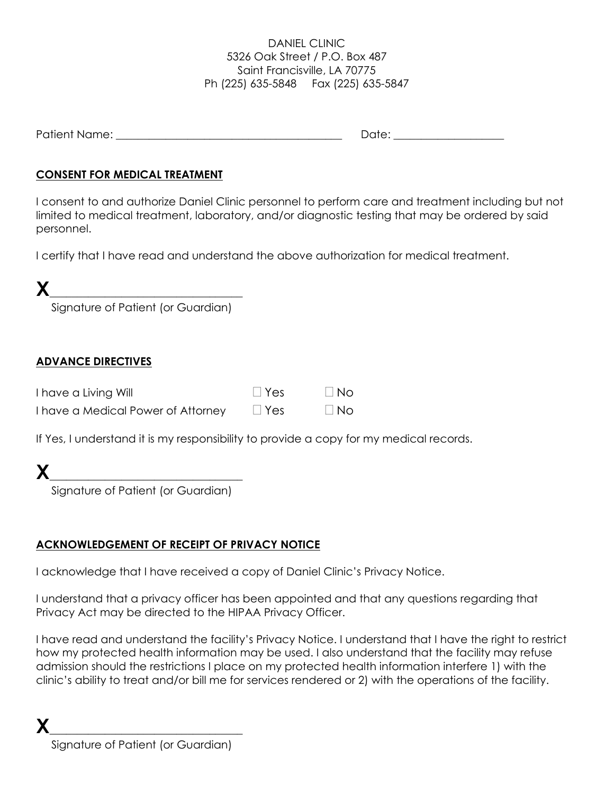### DANIEL CLINIC 5326 Oak Street / P.O. Box 487 Saint Francisville, LA 70775 Ph (225) 635-5848 Fax (225) 635-5847

| Patient<br>ame:<br>۸K |  |
|-----------------------|--|
|-----------------------|--|

## **CONSENT FOR MEDICAL TREATMENT**

I consent to and authorize Daniel Clinic personnel to perform care and treatment including but not limited to medical treatment, laboratory, and/or diagnostic testing that may be ordered by said personnel.

I certify that I have read and understand the above authorization for medical treatment.

| ∕ |                                    |
|---|------------------------------------|
|   | Signature of Patient (or Guardian) |

## **ADVANCE DIRECTIVES**

| I have a Living Will               | $\Box$ Yes | $\Box$ No |
|------------------------------------|------------|-----------|
| I have a Medical Power of Attorney | $\Box$ Yes | $\Box$ No |

If Yes, I understand it is my responsibility to provide a copy for my medical records.

| Signature of Patient (or Guardian) |
|------------------------------------|

## **ACKNOWLEDGEMENT OF RECEIPT OF PRIVACY NOTICE**

I acknowledge that I have received a copy of Daniel Clinic's Privacy Notice.

I understand that a privacy officer has been appointed and that any questions regarding that Privacy Act may be directed to the HIPAA Privacy Officer.

I have read and understand the facility's Privacy Notice. I understand that I have the right to restrict how my protected health information may be used. I also understand that the facility may refuse admission should the restrictions I place on my protected health information interfere 1) with the clinic's ability to treat and/or bill me for services rendered or 2) with the operations of the facility.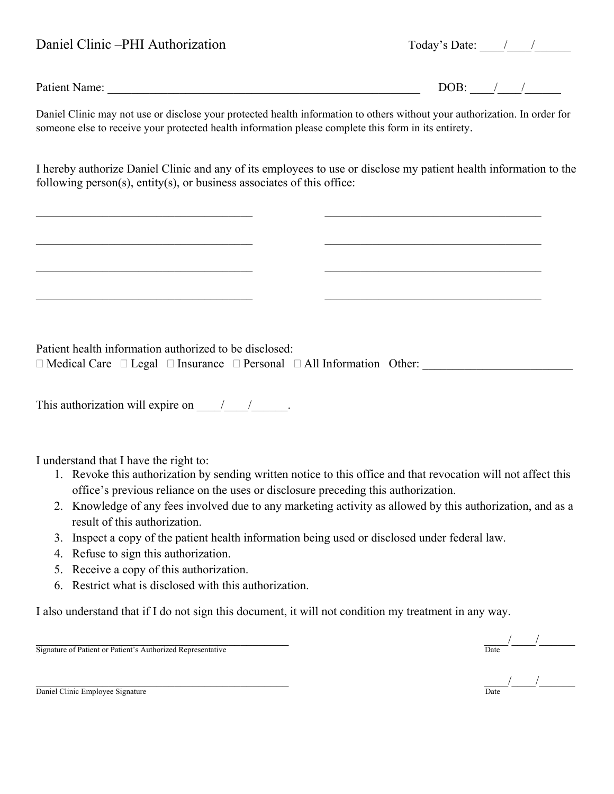| Daniel Clinic -PHI Authorization | Today's Date: $\frac{1}{2}$ / |
|----------------------------------|-------------------------------|
|                                  |                               |

Patient Name: \_\_\_\_\_\_\_\_\_\_\_\_\_\_\_\_\_\_\_\_\_\_\_\_\_\_\_\_\_\_\_\_\_\_\_\_\_\_\_\_\_\_\_\_\_\_\_\_\_\_\_\_ DOB: \_\_\_\_/\_\_\_\_/\_\_\_\_\_\_

Daniel Clinic may not use or disclose your protected health information to others without your authorization. In order for someone else to receive your protected health information please complete this form in its entirety.

I hereby authorize Daniel Clinic and any of its employees to use or disclose my patient health information to the following person(s), entity(s), or business associates of this office:

 $\mathcal{L}_\mathcal{L} = \mathcal{L}_\mathcal{L} = \mathcal{L}_\mathcal{L} = \mathcal{L}_\mathcal{L} = \mathcal{L}_\mathcal{L} = \mathcal{L}_\mathcal{L} = \mathcal{L}_\mathcal{L} = \mathcal{L}_\mathcal{L} = \mathcal{L}_\mathcal{L} = \mathcal{L}_\mathcal{L} = \mathcal{L}_\mathcal{L} = \mathcal{L}_\mathcal{L} = \mathcal{L}_\mathcal{L} = \mathcal{L}_\mathcal{L} = \mathcal{L}_\mathcal{L} = \mathcal{L}_\mathcal{L} = \mathcal{L}_\mathcal{L}$ 

 $\mathcal{L}_\text{max}$  , and the contribution of the contribution of the contribution of the contribution of the contribution of the contribution of the contribution of the contribution of the contribution of the contribution of t

Patient health information authorized to be disclosed:

 $\Box$  Medical Care  $\Box$  Legal  $\Box$  Insurance  $\Box$  Personal  $\Box$  All Information Other:

This authorization will expire on  $\frac{1}{2}$  /

I understand that I have the right to:

- 1. Revoke this authorization by sending written notice to this office and that revocation will not affect this office's previous reliance on the uses or disclosure preceding this authorization.
- 2. Knowledge of any fees involved due to any marketing activity as allowed by this authorization, and as a result of this authorization.
- 3. Inspect a copy of the patient health information being used or disclosed under federal law.
- 4. Refuse to sign this authorization.
- 5. Receive a copy of this authorization.
- 6. Restrict what is disclosed with this authorization.

I also understand that if I do not sign this document, it will not condition my treatment in any way.

Signature of Patient or Patient's Authorized Representative

Daniel Clinic Employee Signature



\_\_\_\_\_\_\_\_\_\_\_\_\_\_\_\_\_\_\_\_\_\_\_\_\_\_\_\_\_\_\_\_\_\_\_\_\_\_\_\_\_\_ \_\_\_\_/\_\_\_\_/\_\_\_\_\_\_